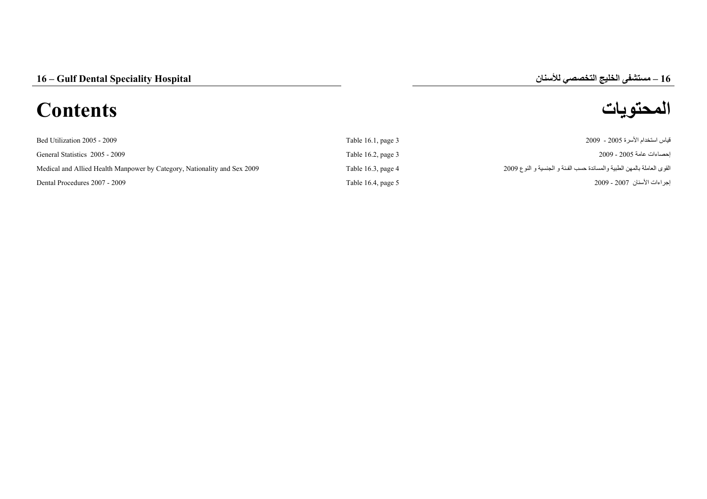# **المحتويات Contents**

# **–**

| Bed Utilization 2005 - 2009                                              | Table $16.1$ , page $3$ | قياس استخدام الأسرة 2005 - 2009                                        |
|--------------------------------------------------------------------------|-------------------------|------------------------------------------------------------------------|
| General Statistics 2005 - 2009                                           | Table 16.2, page $3$    | احصناءات عامة 2005 - 2009                                              |
| Medical and Allied Health Manpower by Category, Nationality and Sex 2009 | Table $16.3$ , page $4$ | القوى العاملة بالمهن الطبية والمساندة حسب الفئة و الجنسية و النوع 2009 |
| Dental Procedures 2007 - 2009                                            | Table 16.4, page $5$    | إجراءات الأسنان  2007 - 2009                                           |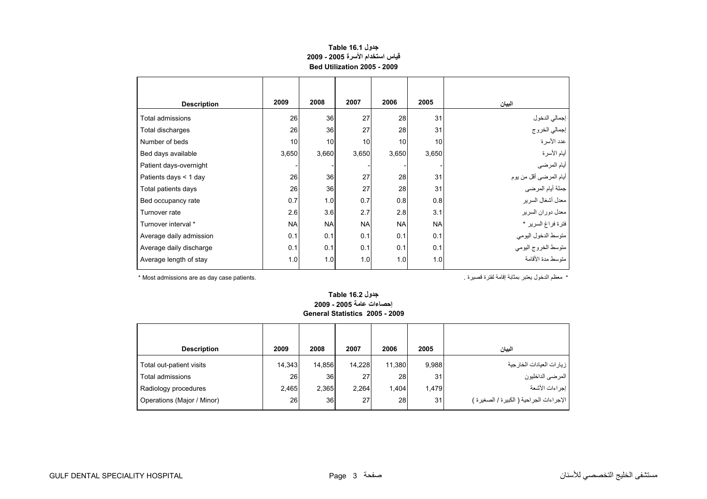## **جدول 16.1 Table قياس استخدام الأسرة 2005 - 2009 Bed Utilization 2005 - 2009**

<span id="page-1-0"></span>

| <b>Description</b>      | 2009      | 2008      | 2007      | 2006      | 2005      | البيان                         |
|-------------------------|-----------|-----------|-----------|-----------|-----------|--------------------------------|
| Total admissions        | 26        | 36        | 27        | 28        | 31        |                                |
| Total discharges        | 26        | 36        | 27        | 28        | 31        | إجمالي الدخول<br>إجمالي الخروج |
| Number of beds          | 10        | 10        | 10        | 10        | 10        | عدد الأسرة                     |
| Bed days available      | 3,650     | 3,660     | 3,650     | 3,650     | 3,650     | أيام الأسرة                    |
| Patient days-overnight  |           |           |           |           |           | أيام المرضي                    |
| Patients days < 1 day   | 26        | 36        | 27        | 28        | 31        | أيام المرضىي أقل من يوم        |
| Total patients days     | 26        | 36        | 27        | 28        | 31        | جملة أيام المرضي               |
| Bed occupancy rate      | 0.7       | 1.0       | 0.7       | 0.8       | 0.8       | معدل أشغال السرير              |
| Turnover rate           | 2.6       | 3.6       | 2.7       | 2.8       | 3.1       | معدل دوران السرير              |
| Turnover interval *     | <b>NA</b> | <b>NA</b> | <b>NA</b> | <b>NA</b> | <b>NA</b> | فترة فراغ السرير *             |
| Average daily admission | 0.1       | 0.1       | 0.1       | 0.1       | 0.1       | متوسط الدخول اليومي            |
| Average daily discharge | 0.1       | 0.1       | 0.1       | 0.1       | 0.1       | متوسط الخروج اليومى            |
| Average length of stay  | 1.0       | 1.0       | 1.0       | 1.0       | 1.0       | منّوسط مدة الأقامة             |

\* معظم الدخول يعتبر بمثابة إقامة لفترة قصيرة . .patients case day as are admissions Most\*

#### **جدول 16.2 Table إحصاءات عامة 2005 - 2009 General Statistics 2005 - 2009**

| <b>Description</b>         | 2009      | 2008            | 2007   | 2006      | 2005  | البيان                                   |
|----------------------------|-----------|-----------------|--------|-----------|-------|------------------------------------------|
| Total out-patient visits   | 14,343    | 14.856          | 14.228 | 11,380    | 9,988 | ز يار ات العيادات الخار جية              |
| Total admissions           | <b>26</b> | 36 <sup>1</sup> | 27     | <b>28</b> | 31    | ا المرضى الداخليون                       |
| Radiology procedures       | 2.465     | 2,365           | 2,264  | 1,404     | 1.479 | ا إجراءات الأشعة                         |
| Operations (Major / Minor) | 26        | 36 <sup>1</sup> | 27     | 28        | 31    | الإجراءات الجراحية ( الكبيرة / الصغيرة ) |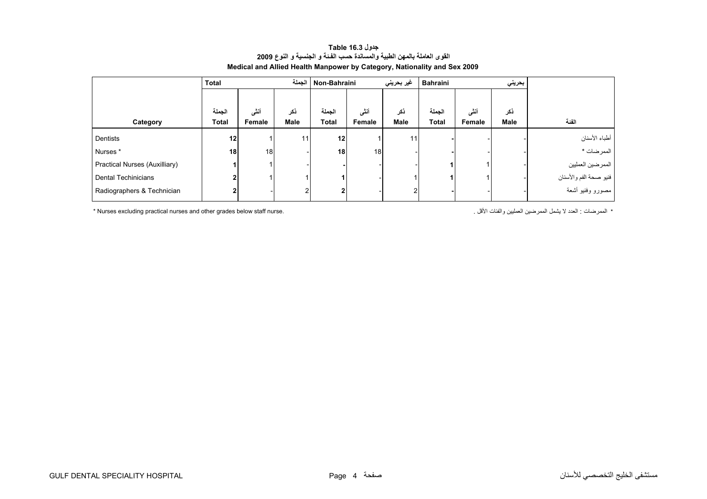<span id="page-2-0"></span>

|                                      | <b>Total</b> |        | الحملة | Non-Bahraini    |                 | غير بحريني | Bahraini     |        | بحريني |                        |
|--------------------------------------|--------------|--------|--------|-----------------|-----------------|------------|--------------|--------|--------|------------------------|
|                                      |              |        |        |                 |                 |            |              |        |        |                        |
|                                      | الجملة       | أنشى   | ذكر    | الجملة          | أنشى            | ذكر        | الجملة       | أننى   | ذكر    |                        |
| Category                             | <b>Total</b> | Female | Male   | <b>Total</b>    | Female          | Male       | <b>Total</b> | Female | Male   | الفئة                  |
| Dentists                             | 12           |        | 11     | 12              |                 | 11         |              |        |        | أطباء الأسنان          |
| Nurses*                              | 18           | 18     |        | 18 <sub>1</sub> | 18 <sup>1</sup> |            |              |        |        | الممرضات *             |
| <b>Practical Nurses (Auxilliary)</b> |              |        |        |                 |                 |            |              |        |        | الممرضين العمليين      |
| Dental Techinicians                  | 2            |        |        |                 |                 |            |              |        |        | فنيو صحة الفم والأسنان |
| Radiographers & Technician           | 2            |        |        | 2               |                 | 2          |              |        |        | مصورو وفنيو أشعة       |

#### **جدول 16.3 Table القوى العاملة بالمهن الطبية والمساندة حسب الفـئة <sup>و</sup> الجنسية <sup>و</sup> النوع <sup>2009</sup> Medical and Allied Health Manpower by Category, Nationality and Sex 2009**

\* Nurses excluding practical nurses and other grades below staff nurse. . الأقل والفئات العمليين الممرضين يشمل لا العدد : الممرضات\*